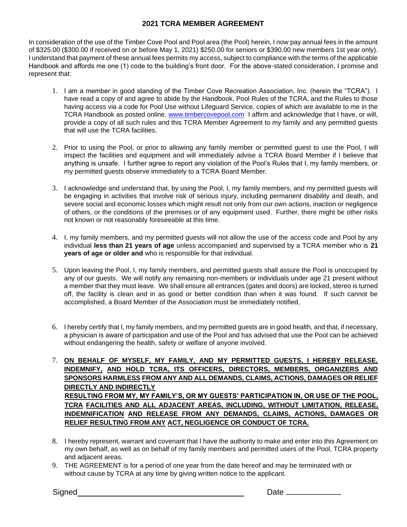## **2021 TCRA MEMBER AGREEMENT**

In consideration of the use of the Timber Cove Pool and Pool area (the Pool) herein, I now pay annual fees in the amount of \$325.00 (\$300.00 if received on or before May 1, 2021) \$250.00 for seniors or \$390.00 new members 1st year only). I understand that payment of these annual fees permits my access, subject to compliance with the terms of the applicable Handbook and affords me one (1) code to the building's front door. For the above-stated consideration, I promise and represent that:

- 1. I am a member in good standing of the Timber Cove Recreation Association, Inc. (herein the "TCRA"). I have read a copy of and agree to abide by the Handbook, Pool Rules of the TCRA, and the Rules to those having access via a code for Pool Use without Lifeguard Service, copies of which are available to me in the TCRA Handbook as posted online. [www.timbercovepool.com](http://www.timbercovepool.com/) I affirm and acknowledge that I have, or will, provide a copy of all such rules and this TCRA Member Agreement to my family and any permitted guests that will use the TCRA facilities.
- 2. Prior to using the Pool, or prior to allowing any family member or permitted guest to use the Pool, I will inspect the facilities and equipment and will immediately advise a TCRA Board Member if I believe that anything is unsafe. I further agree to report any violation of the Pool's Rules that I, my family members, or my permitted guests observe immediately to a TCRA Board Member.
- 3. I acknowledge and understand that, by using the Pool, I, my family members, and my permitted guests will be engaging in activities that involve risk of serious injury, including permanent disability and death, and severe social and economic losses which might result not only from our own actions, inaction or negligence of others, or the conditions of the premises or of any equipment used. Further, there might be other risks not known or not reasonably foreseeable at this time.
- 4. I, my family members, and my permitted guests will not allow the use of the access code and Pool by any individual **less than 21 years of age** unless accompanied and supervised by a TCRA member who is **21 years of age or older and** who is responsible for that individual.
- 5. Upon leaving the Pool, I, my family members, and permitted guests shall assure the Pool is unoccupied by any of our guests. We will notify any remaining non-members or individuals under age 21 present without a member that they must leave. We shall ensure all entrances (gates and doors) are locked, stereo is turned off, the facility is clean and in as good or better condition than when it was found. If such cannot be accomplished, a Board Member of the Association must be immediately notified,
- 6. I hereby certify that I, my family members, and my permitted guests are in good health, and that, if necessary, a physician is aware of participation and use of the Pool and has advised that use the Pool can be achieved without endangering the health, safety or welfare of anyone involved.
- 7. **ON BEHALF OF MYSELF, MY FAMILY, AND MY PERMITTED GUESTS, I HEREBY RELEASE, INDEMNIFY, AND HOLD TCRA, ITS OFFICERS, DIRECTORS, MEMBERS, ORGANIZERS AND SPONSORS HARMLESS FROM ANY AND ALL DEMANDS, CLAIMS, ACTIONS, DAMAGES OR RELIEF DIRECTLY AND INDIRECTLY RESULTING FROM MY, MY FAMILY'S, OR MY GUESTS' PARTICIPATION IN, OR USE OF THE POOL, TCRA FACILITIES AND ALL ADJACENT AREAS, INCLUDING, WITHOUT LIMITATION, RELEASE, INDEMNIFICATION AND RELEASE FROM ANY DEMANDS, CLAIMS, ACTIONS, DAMAGES OR RELIEF RESULTING FROM ANY ACT, NEGLIGENCE OR CONDUCT OF TCRA.**
- 8. I hereby represent, warrant and covenant that I have the authority to make and enter into this Agreement on my own behalf, as well as on behalf of my family members and permitted users of the Pool, TCRA property and adjacent areas.
- 9. THE AGREEMENT is for a period of one year from the date hereof and may be terminated with or without cause by TCRA at any time by giving written notice to the applicant.

Signed Date